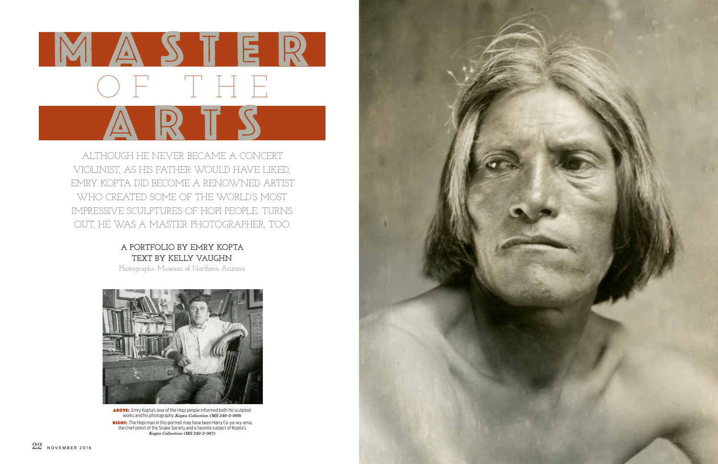

ABOVE: Emry Kopta's love of the Hopi people informed both his sculpted works and his photography. *Kopta Collection (MS 240-2-099)* RIGHT: The Hopi man in this portrait may have been Harry Co-ya-wy-ema, the chief priest of the Snake Society and a favorite subject of Kopta's. *Kopta Collection (MS 240-2-067)*



ALTHOUGH HE NEVER BECAME A CONCERT VIOLINIST, AS HIS FATHER WOULD HAVE LIKED, EMRY KOPTA DID BECOME A RENOWNED ARTIST WHO CREATED SOME OF THE WORLD'S MOST IMPRESSIVE SCULPTURES OF HOPI PEOPLE. TURNS OUT, HE WAS A MASTER PHOTOGRAPHER, TOO.

## **A PORTFOLIO BY EMRY KOPTA TEXT BY KELLY VAUGHN**

Photographs: Museum of Northern Arizona

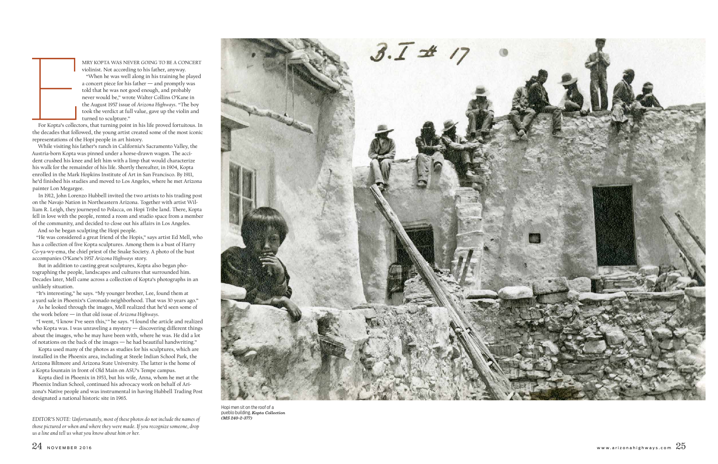

MRY KOPTA WAS NEVER GOING TO BE A CONCERT violinist. Not according to his father, anyway. "When he was well along in his training he played a concert piece for his father — and promptly was told that he was not good enough, and probably never would be," wrote Walter Collins O'Kane in the August 1957 issue of *Arizona Highways*. "The boy took the verdict at full value, gave up the violin and turned to sculpture."

For Kopta's collectors, that turning point in his life proved fortuitous. In the decades that followed, the young artist created some of the most iconic representations of the Hopi people in art history.

While visiting his father's ranch in California's Sacramento Valley, the Austria-born Kopta was pinned under a horse-drawn wagon. The acci dent crushed his knee and left him with a limp that would characterize his walk for the remainder of his life. Shortly thereafter, in 1904, Kopta enrolled in the Mark Hopkins Institute of Art in San Francisco. By 1911, he'd finished his studies and moved to Los Angeles, where he met Arizona painter Lon Megargee.

In 1912, John Lorenzo Hubbell invited the two artists to his trading post on the Navajo Nation in Northeastern Arizona. Together with artist Wil liam R. Leigh, they journeyed to Polacca, on Hopi Tribe land. There, Kopta fell in love with the people, rented a room and studio space from a member of the community, and decided to close out his affairs in Los Angeles.

And so he began sculpting the Hopi people.

"He was considered a great friend of the Hopis," says artist Ed Mell, who has a collection of five Kopta sculptures. Among them is a bust of Harry Co-ya-wy-ema, the chief priest of the Snake Society. A photo of the bust accompanies O'Kane's 1957 *Arizona Highways* story.

But in addition to casting great sculptures, Kopta also began pho tographing the people, landscapes and cultures that surrounded him. Decades later, Mell came across a collection of Kopta's photographs in an unlikely situation.

"It's interesting," he says. "My younger brother, Lee, found them at a yard sale in Phoenix's Coronado neighborhood. That was 30 years ago."

As he looked through the images, Mell realized that he'd seen some of the work before — in that old issue of *Arizona Highways*.

"I went, 'I know I've seen this,'" he says. "I found the article and realized who Kopta was. I was unraveling a mystery — discovering different things about the images, who he may have been with, where he was. He did a lot of notations on the back of the images — he had beautiful handwriting."

Kopta used many of the photos as studies for his sculptures, which are installed in the Phoenix area, including at Steele Indian School Park, the Arizona Biltmore and Arizona State University. The latter is the home of a Kopta fountain in front of Old Main on ASU's Tempe campus.

Kopta died in Phoenix in 1953, but his wife, Anna, whom he met at the Phoenix Indian School, continued his advocacy work on behalf of Ari zona's Native people and was instrumental in having Hubbell Trading Post designated a national historic site in 1965.



Hopi men sit on the roof of a pueblo building. *Kopta Collection* 

*(MS 240-2-377) EDITOR'S NOTE: Unfortunately, most of these photos do not include the names of those pictured or when and where they were made. If you recognize someone, drop us a line and tell us what you know about him or her.*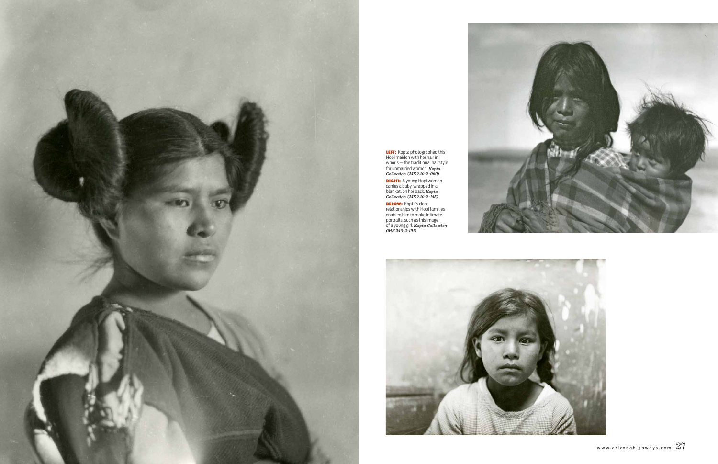

**LEFT:** Kopta photographed this Hopi maiden with her hair in whorls — the traditional hairstyle for unmarried women. *Kopta Collection (MS 240-2-060)*

RIGHT: A young Hopi woman carries a baby, wrapped in a blanket, on her back. *Kopta Collection (MS 240-2-145)*

**BELOW:** Kopta's close relationships with Hopi families enabled him to make intimate portraits, such as this image of a young girl. *Kopta Collection (MS 240-2-191)*



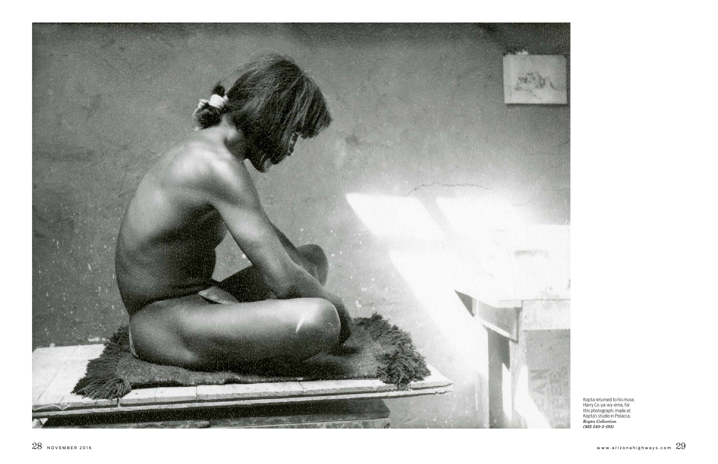



Kopta returned to his muse, Harry Co-ya-wy-ema, for this photograph, made at Kopta's studio in Polacca. *Kopta Collection (MS 240-2-193)*